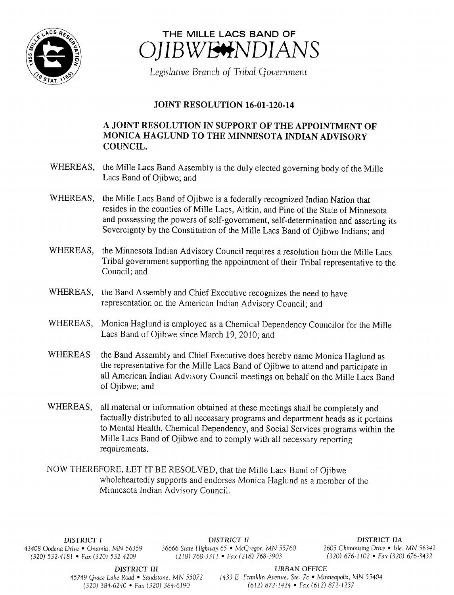



Legislative Branch of Tribal Government

## JOINT RESOLUTION 16-01-120-14

## A JOINT RESOLUTION IN SUPPORT OF THE APPOINTMENT OF MONICA HAGLUND TO THE MINNESOTA INDIAN ADVISORY COUNCIL.

- WHEREAS, the Mille Lacs Band Assembly is the duly elected governing body of the Mille Lacs Band of Ojibwe; and
- WHEREAS, the Mille Lacs Band of Ojibwe is <sup>a</sup> federally recognized Indian Nation that resides in the counties of Mille Lacs, Aitkin, and Pine of the State of Minnesota and possessing the powers of self-government, self-determination and asserting its Sovereignty by the Constitution of the Mille Lacs Band of Ojibwe Indians; and
- WHEREAS, the Minnesota Indian Advisory Council requires <sup>a</sup> resolution from the Mille Lacs Tribal government supporting the appointment of their Tribal representative to the Council; and
- WHEREAS, the Band Assembly and Chief Executive recognizes the need to have representation on the American Indian Advisory Council; and
- WHEREAS, Monica Haglund is employed as <sup>a</sup> Chemical Dependency Councilor for the Mille Lacs Band of Ojibwe since March 19, 2010; and
- WHEREAS the Band Assembly and Chief Executive does hereby name Monica Haglund as the representative for the Mille Lacs Band of Ojibwe to attend and participate in all American Indian Advisory Council meetings on behalf on the Mille Lacs Band of Ojibwe; and
- WHEREAS, all material or information obtained at these meetings shall be completely and factually distributed to all necessary programs and department heads as it pertains to Mental Health, Chemical Dependency, and Social Services programs within the Mille Lacs Band of Ojibwe and to comply with all necessary reporting requirements.
- NOW THEREFORE, LET IT BE RESOLVED, that the Mille Lacs Band of Ojibwe wholeheartedly supports and endorses Monica Haglund as <sup>a</sup> member of the Minnesota Indian Advisory Council.

 $(320) 532-4181$  • Fax $(320) 532-4209$ 

DISTRICT I **DISTRICT II** DISTRICT II DISTRICT II<br>43408 Oodena Drive • Onamia, MN 56359 36666 State Highway 65 • McGregor, MN 55760 2605 Chiminising Drive • Isle, MN 56342 436666 State Highway 65 • McGregor, MN 55760 2605 Chiminising Drive • Isle, MN 56342<br>(218) 768-3311 • Fax (218) 768-3903 (320) 676-1102 • Fax (320) 676-3432

DISTRICT III URBAN OFFICE

45749 Grace Lake Road • Sandstone, MN 55072 1433 E. Franklin Avenue, Ste. 7c • Minneapolis, MN 55404 320) 384- 6240 • Fax( 320) 384- 6190 612) 872- 1424 • Fax ( 612) 872- 1257